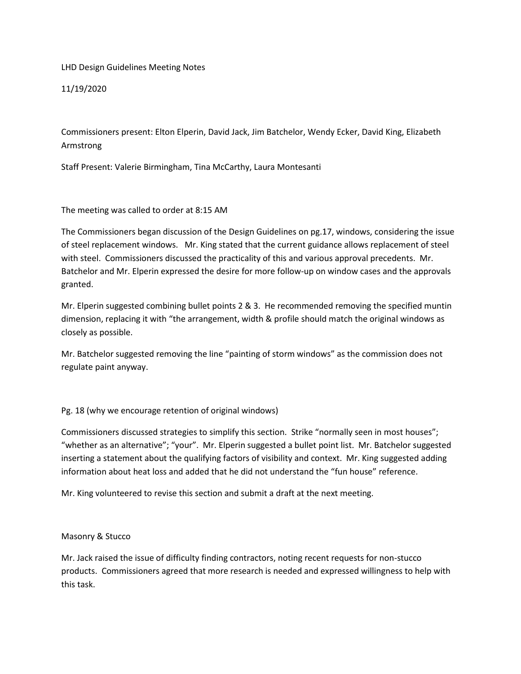LHD Design Guidelines Meeting Notes

11/19/2020

Commissioners present: Elton Elperin, David Jack, Jim Batchelor, Wendy Ecker, David King, Elizabeth Armstrong

Staff Present: Valerie Birmingham, Tina McCarthy, Laura Montesanti

The meeting was called to order at 8:15 AM

The Commissioners began discussion of the Design Guidelines on pg.17, windows, considering the issue of steel replacement windows. Mr. King stated that the current guidance allows replacement of steel with steel. Commissioners discussed the practicality of this and various approval precedents. Mr. Batchelor and Mr. Elperin expressed the desire for more follow-up on window cases and the approvals granted.

Mr. Elperin suggested combining bullet points 2 & 3. He recommended removing the specified muntin dimension, replacing it with "the arrangement, width & profile should match the original windows as closely as possible.

Mr. Batchelor suggested removing the line "painting of storm windows" as the commission does not regulate paint anyway.

## Pg. 18 (why we encourage retention of original windows)

Commissioners discussed strategies to simplify this section. Strike "normally seen in most houses"; "whether as an alternative"; "your". Mr. Elperin suggested a bullet point list. Mr. Batchelor suggested inserting a statement about the qualifying factors of visibility and context. Mr. King suggested adding information about heat loss and added that he did not understand the "fun house" reference.

Mr. King volunteered to revise this section and submit a draft at the next meeting.

## Masonry & Stucco

Mr. Jack raised the issue of difficulty finding contractors, noting recent requests for non-stucco products. Commissioners agreed that more research is needed and expressed willingness to help with this task.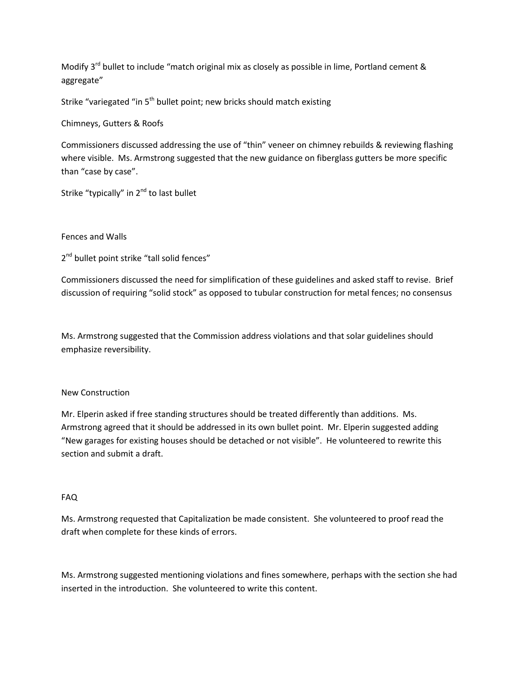Modify 3<sup>rd</sup> bullet to include "match original mix as closely as possible in lime, Portland cement & aggregate"

Strike "variegated "in 5<sup>th</sup> bullet point; new bricks should match existing

Chimneys, Gutters & Roofs

Commissioners discussed addressing the use of "thin" veneer on chimney rebuilds & reviewing flashing where visible. Ms. Armstrong suggested that the new guidance on fiberglass gutters be more specific than "case by case".

Strike "typically" in 2<sup>nd</sup> to last bullet

Fences and Walls

2<sup>nd</sup> bullet point strike "tall solid fences"

Commissioners discussed the need for simplification of these guidelines and asked staff to revise. Brief discussion of requiring "solid stock" as opposed to tubular construction for metal fences; no consensus

Ms. Armstrong suggested that the Commission address violations and that solar guidelines should emphasize reversibility.

## New Construction

Mr. Elperin asked if free standing structures should be treated differently than additions. Ms. Armstrong agreed that it should be addressed in its own bullet point. Mr. Elperin suggested adding "New garages for existing houses should be detached or not visible". He volunteered to rewrite this section and submit a draft.

## FAQ

Ms. Armstrong requested that Capitalization be made consistent. She volunteered to proof read the draft when complete for these kinds of errors.

Ms. Armstrong suggested mentioning violations and fines somewhere, perhaps with the section she had inserted in the introduction. She volunteered to write this content.